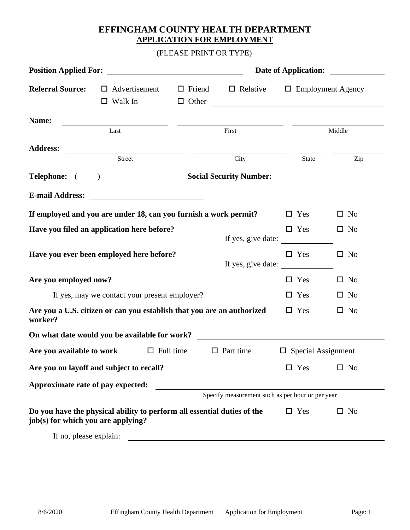# **EFFINGHAM COUNTY HEALTH DEPARTMENT APPLICATION FOR EMPLOYMENT**

(PLEASE PRINT OR TYPE)

|                                                                                                               |                                                                                                                       |                  | <b>Date of Application:</b>   |                                                                                                   |            |                           |              |
|---------------------------------------------------------------------------------------------------------------|-----------------------------------------------------------------------------------------------------------------------|------------------|-------------------------------|---------------------------------------------------------------------------------------------------|------------|---------------------------|--------------|
| <b>Referral Source:</b>                                                                                       | $\Box$ Advertisement<br>$\Box$ Walk In                                                                                |                  | $\Box$ Friend<br>$\Box$ Other | $\Box$ Relative $\Box$ Employment Agency<br><u> 1980 - Johann Stein, fransk politik (d. 1980)</u> |            |                           |              |
| Name:                                                                                                         | <u>and the state of the state of the state of the state of the state of the state of the state of the state of th</u> |                  |                               |                                                                                                   |            |                           |              |
|                                                                                                               | Last                                                                                                                  |                  |                               | First                                                                                             |            |                           | Middle       |
| <b>Address:</b>                                                                                               |                                                                                                                       |                  |                               |                                                                                                   |            |                           |              |
|                                                                                                               | Street                                                                                                                |                  |                               | City                                                                                              |            | <b>State</b>              | Zip          |
| Telephone: <u>()</u>                                                                                          |                                                                                                                       |                  |                               |                                                                                                   |            |                           |              |
|                                                                                                               |                                                                                                                       |                  |                               |                                                                                                   |            |                           |              |
| If employed and you are under 18, can you furnish a work permit?                                              |                                                                                                                       |                  |                               |                                                                                                   |            | $\Box$ Yes                | $\square$ No |
| Have you filed an application here before?                                                                    |                                                                                                                       |                  |                               | If yes, give date:                                                                                |            | $\Box$ Yes                | $\Box$ No    |
| Have you ever been employed here before?                                                                      |                                                                                                                       |                  |                               | If yes, give date:                                                                                |            | $\Box$ Yes                | $\square$ No |
| Are you employed now?                                                                                         |                                                                                                                       |                  |                               |                                                                                                   |            | $\Box$ Yes                | $\Box$ No    |
|                                                                                                               | If yes, may we contact your present employer?                                                                         |                  |                               |                                                                                                   |            | $\Box$ Yes                | $\Box$ No    |
| Are you a U.S. citizen or can you establish that you are an authorized<br>worker?                             |                                                                                                                       |                  |                               |                                                                                                   | $\Box$ Yes | $\Box$ No                 |              |
| On what date would you be available for work?                                                                 |                                                                                                                       |                  |                               | <u> 1989 - Andrea Stadt Britain, fransk politik (</u>                                             |            |                           |              |
| Are you available to work                                                                                     |                                                                                                                       | $\Box$ Full time |                               | $\Box$ Part time                                                                                  |            | $\Box$ Special Assignment |              |
| Are you on layoff and subject to recall?                                                                      |                                                                                                                       |                  |                               |                                                                                                   |            | Yes                       | $\square$ No |
| Approximate rate of pay expected:                                                                             |                                                                                                                       |                  |                               |                                                                                                   |            |                           |              |
|                                                                                                               |                                                                                                                       |                  |                               | Specify measurement such as per hour or per year                                                  |            |                           |              |
| Do you have the physical ability to perform all essential duties of the<br>job(s) for which you are applying? |                                                                                                                       |                  |                               |                                                                                                   |            | $\Box$ Yes                | $\square$ No |
| If no, please explain:                                                                                        |                                                                                                                       |                  |                               |                                                                                                   |            |                           |              |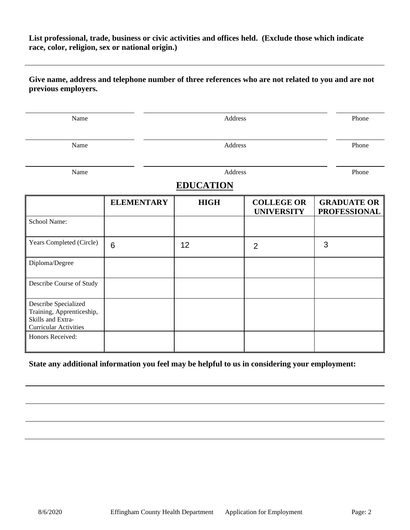### **List professional, trade, business or civic activities and offices held. (Exclude those which indicate race, color, religion, sex or national origin.)**

### **Give name, address and telephone number of three references who are not related to you and are not previous employers.**

| Name                                                                                                   |                   | Address     |                                        |                                           |  |  |  |  |
|--------------------------------------------------------------------------------------------------------|-------------------|-------------|----------------------------------------|-------------------------------------------|--|--|--|--|
| Name                                                                                                   |                   | Address     |                                        |                                           |  |  |  |  |
| Name                                                                                                   |                   | Address     |                                        |                                           |  |  |  |  |
|                                                                                                        | <b>EDUCATION</b>  |             |                                        |                                           |  |  |  |  |
|                                                                                                        | <b>ELEMENTARY</b> | <b>HIGH</b> | <b>COLLEGE OR</b><br><b>UNIVERSITY</b> | <b>GRADUATE OR</b><br><b>PROFESSIONAL</b> |  |  |  |  |
| School Name:                                                                                           |                   |             |                                        |                                           |  |  |  |  |
| Years Completed (Circle)                                                                               | $6\phantom{1}$    | 12          | $\overline{2}$                         | 3                                         |  |  |  |  |
| Diploma/Degree                                                                                         |                   |             |                                        |                                           |  |  |  |  |
| Describe Course of Study                                                                               |                   |             |                                        |                                           |  |  |  |  |
| Describe Specialized<br>Training, Apprenticeship,<br>Skills and Extra-<br><b>Curricular Activities</b> |                   |             |                                        |                                           |  |  |  |  |
| Honors Received:                                                                                       |                   |             |                                        |                                           |  |  |  |  |

## **State any additional information you feel may be helpful to us in considering your employment:**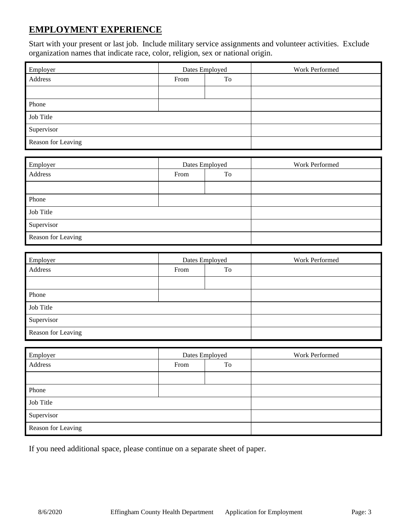# **EMPLOYMENT EXPERIENCE**

Start with your present or last job. Include military service assignments and volunteer activities. Exclude organization names that indicate race, color, religion, sex or national origin.

| Employer           | Dates Employed |    | Work Performed |
|--------------------|----------------|----|----------------|
| Address            | From           | To |                |
|                    |                |    |                |
| Phone              |                |    |                |
| Job Title          |                |    |                |
| Supervisor         |                |    |                |
| Reason for Leaving |                |    |                |

| Employer           | Dates Employed |  | Work Performed |
|--------------------|----------------|--|----------------|
| Address            | To<br>From     |  |                |
|                    |                |  |                |
| Phone              |                |  |                |
| Job Title          |                |  |                |
| Supervisor         |                |  |                |
| Reason for Leaving |                |  |                |

| Employer           | Dates Employed |  | Work Performed |
|--------------------|----------------|--|----------------|
| Address            | To<br>From     |  |                |
|                    |                |  |                |
| Phone              |                |  |                |
| Job Title          |                |  |                |
| Supervisor         |                |  |                |
| Reason for Leaving |                |  |                |

| Employer           | Dates Employed |    | Work Performed |
|--------------------|----------------|----|----------------|
| Address            | From           | To |                |
|                    |                |    |                |
| Phone              |                |    |                |
| Job Title          |                |    |                |
| Supervisor         |                |    |                |
| Reason for Leaving |                |    |                |

If you need additional space, please continue on a separate sheet of paper.